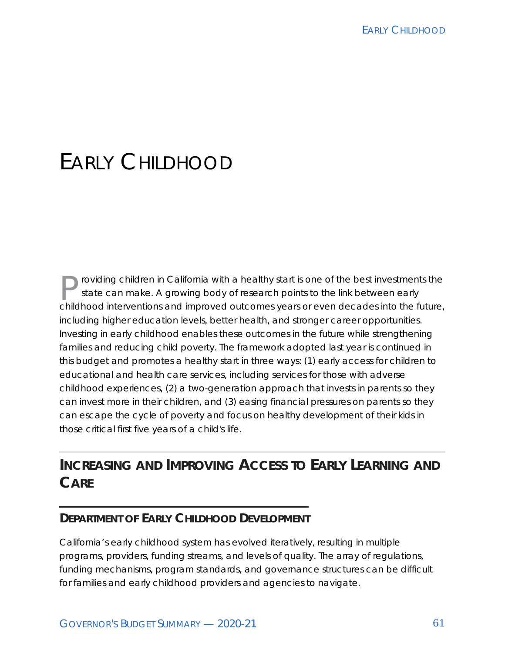# FARLY CHILDHOOD

roviding children in California with a healthy start is one of the best investments the state can make. A growing body of research points to the link between early childhood interventions and improved outcomes years or even decades into the future, including higher education levels, better health, and stronger career opportunities. Investing in early childhood enables these outcomes in the future while strengthening families and reducing child poverty. The framework adopted last year is continued in this budget and promotes a healthy start in three ways: (1) early access for children to educational and health care services, including services for those with adverse childhood experiences, (2) a two-generation approach that invests in parents so they can invest more in their children, and (3) easing financial pressures on parents so they can escape the cycle of poverty and focus on healthy development of their kids in those critical first five years of a child's life.

### **INCREASING AND IMPROVING ACCESS TO EARLY LEARNING AND CARE**

#### **DEPARTMENT OF EARLY CHILDHOOD DEVELOPMENT**

California's early childhood system has evolved iteratively, resulting in multiple programs, providers, funding streams, and levels of quality. The array of regulations, funding mechanisms, program standards, and governance structures can be difficult for families and early childhood providers and agencies to navigate.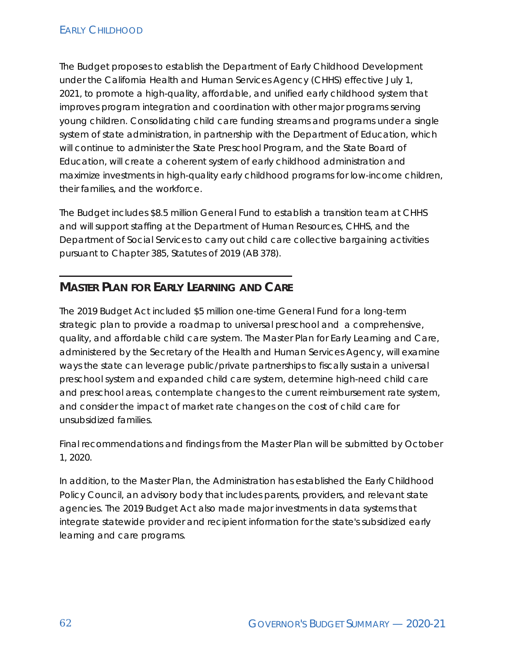The Budget proposes to establish the Department of Early Childhood Development under the California Health and Human Services Agency (CHHS) effective July 1, 2021, to promote a high-quality, affordable, and unified early childhood system that improves program integration and coordination with other major programs serving young children. Consolidating child care funding streams and programs under a single system of state administration, in partnership with the Department of Education, which will continue to administer the State Preschool Program, and the State Board of Education, will create a coherent system of early childhood administration and maximize investments in high-quality early childhood programs for low-income children, their families, and the workforce.

The Budget includes \$8.5 million General Fund to establish a transition team at CHHS and will support staffing at the Department of Human Resources, CHHS, and the Department of Social Services to carry out child care collective bargaining activities pursuant to Chapter 385, Statutes of 2019 (AB 378).

### **MASTER PLAN FOR EARLY LEARNING AND CARE**

The 2019 Budget Act included \$5 million one-time General Fund for a long-term strategic plan to provide a roadmap to universal preschool and a comprehensive, quality, and affordable child care system. The Master Plan for Early Learning and Care, administered by the Secretary of the Health and Human Services Agency, will examine ways the state can leverage public/private partnerships to fiscally sustain a universal preschool system and expanded child care system, determine high-need child care and preschool areas, contemplate changes to the current reimbursement rate system, and consider the impact of market rate changes on the cost of child care for unsubsidized families.

Final recommendations and findings from the Master Plan will be submitted by October 1, 2020.

In addition, to the Master Plan, the Administration has established the Early Childhood Policy Council, an advisory body that includes parents, providers, and relevant state agencies. The 2019 Budget Act also made major investments in data systems that integrate statewide provider and recipient information for the state's subsidized early learning and care programs.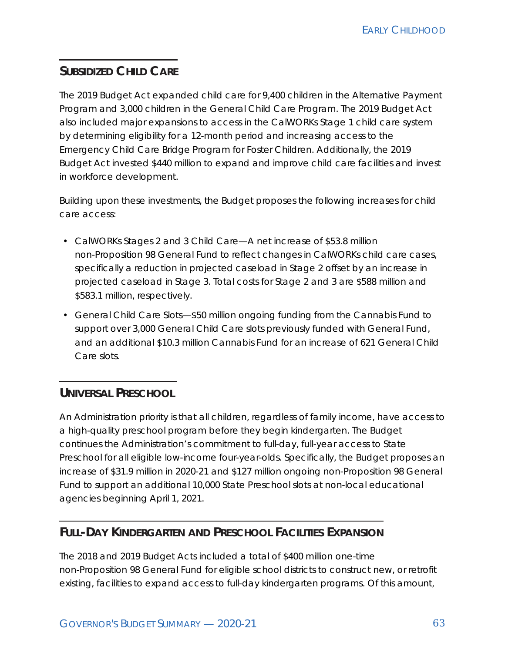### **SUBSIDIZED CHILD CARE**

The 2019 Budget Act expanded child care for 9,400 children in the Alternative Payment Program and 3,000 children in the General Child Care Program. The 2019 Budget Act also included major expansions to access in the CalWORKs Stage 1 child care system by determining eligibility for a 12-month period and increasing access to the Emergency Child Care Bridge Program for Foster Children. Additionally, the 2019 Budget Act invested \$440 million to expand and improve child care facilities and invest in workforce development.

Building upon these investments, the Budget proposes the following increases for child care access:

- CalWORKs Stages 2 and 3 Child Care—A net increase of \$53.8 million non-Proposition 98 General Fund to reflect changes in CalWORKs child care cases, specifically a reduction in projected caseload in Stage 2 offset by an increase in projected caseload in Stage 3. Total costs for Stage 2 and 3 are \$588 million and \$583.1 million, respectively.
- General Child Care Slots—\$50 million ongoing funding from the Cannabis Fund to support over 3,000 General Child Care slots previously funded with General Fund, and an additional \$10.3 million Cannabis Fund for an increase of 621 General Child Care slots.

#### **UNIVERSAL PRESCHOOL**

An Administration priority is that all children, regardless of family income, have access to a high-quality preschool program before they begin kindergarten. The Budget continues the Administration's commitment to full-day, full-year access to State Preschool for all eligible low-income four-year-olds. Specifically, the Budget proposes an increase of \$31.9 million in 2020-21 and \$127 million ongoing non-Proposition 98 General Fund to support an additional 10,000 State Preschool slots at non-local educational agencies beginning April 1, 2021.

#### **FULL-DAY KINDERGARTEN AND PRESCHOOL FACILITIES EXPANSION**

The 2018 and 2019 Budget Acts included a total of \$400 million one-time non-Proposition 98 General Fund for eligible school districts to construct new, or retrofit existing, facilities to expand access to full-day kindergarten programs. Of this amount,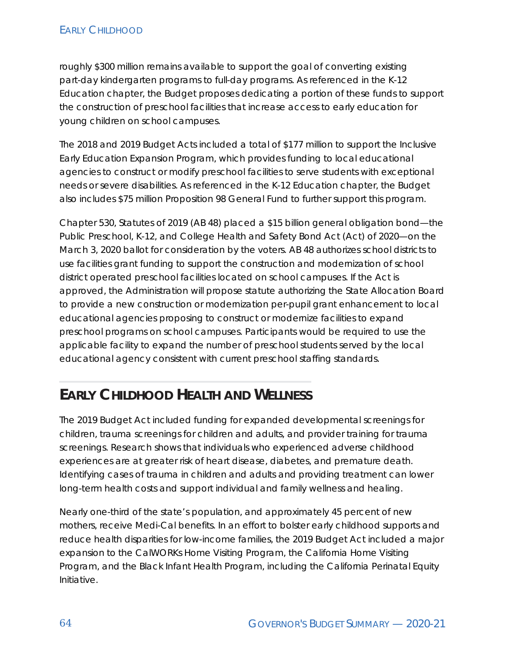#### **EARLY CHILDHOOD**

roughly \$300 million remains available to support the goal of converting existing part-day kindergarten programs to full-day programs. As referenced in the K-12 Education chapter, the Budget proposes dedicating a portion of these funds to support the construction of preschool facilities that increase access to early education for young children on school campuses.

The 2018 and 2019 Budget Acts included a total of \$177 million to support the Inclusive Early Education Expansion Program, which provides funding to local educational agencies to construct or modify preschool facilities to serve students with exceptional needs or severe disabilities. As referenced in the K-12 Education chapter, the Budget also includes \$75 million Proposition 98 General Fund to further support this program.

Chapter 530, Statutes of 2019 (AB 48) placed a \$15 billion general obligation bond—the Public Preschool, K-12, and College Health and Safety Bond Act (Act) of 2020—on the March 3, 2020 ballot for consideration by the voters. AB 48 authorizes school districts to use facilities grant funding to support the construction and modernization of school district operated preschool facilities located on school campuses. If the Act is approved, the Administration will propose statute authorizing the State Allocation Board to provide a new construction or modernization per-pupil grant enhancement to local educational agencies proposing to construct or modernize facilities to expand preschool programs on school campuses. Participants would be required to use the applicable facility to expand the number of preschool students served by the local educational agency consistent with current preschool staffing standards.

### **EARLY CHILDHOOD HEALTH AND WELLNESS**

The 2019 Budget Act included funding for expanded developmental screenings for children, trauma screenings for children and adults, and provider training for trauma screenings. Research shows that individuals who experienced adverse childhood experiences are at greater risk of heart disease, diabetes, and premature death. Identifying cases of trauma in children and adults and providing treatment can lower long-term health costs and support individual and family wellness and healing.

Nearly one-third of the state's population, and approximately 45 percent of new mothers, receive Medi-Cal benefits. In an effort to bolster early childhood supports and reduce health disparities for low-income families, the 2019 Budget Act included a major expansion to the CalWORKs Home Visiting Program, the California Home Visiting Program, and the Black Infant Health Program, including the California Perinatal Equity Initiative.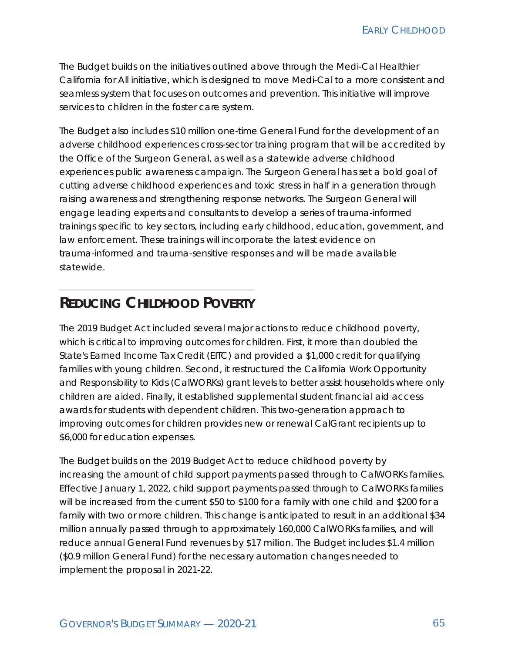The Budget builds on the initiatives outlined above through the Medi-Cal Healthier California for All initiative, which is designed to move Medi-Cal to a more consistent and seamless system that focuses on outcomes and prevention. This initiative will improve services to children in the foster care system.

The Budget also includes \$10 million one-time General Fund for the development of an adverse childhood experiences cross-sector training program that will be accredited by the Office of the Surgeon General, as well as a statewide adverse childhood experiences public awareness campaign. The Surgeon General has set a bold goal of cutting adverse childhood experiences and toxic stress in half in a generation through raising awareness and strengthening response networks. The Surgeon General will engage leading experts and consultants to develop a series of trauma-informed trainings specific to key sectors, including early childhood, education, government, and law enforcement. These trainings will incorporate the latest evidence on trauma-informed and trauma-sensitive responses and will be made available statewide.

### **REDUCING CHILDHOOD POVERTY**

The 2019 Budget Act included several major actions to reduce childhood poverty, which is critical to improving outcomes for children. First, it more than doubled the State's Earned Income Tax Credit (EITC) and provided a \$1,000 credit for qualifying families with young children. Second, it restructured the California Work Opportunity and Responsibility to Kids (CalWORKs) grant levels to better assist households where only children are aided. Finally, it established supplemental student financial aid access awards for students with dependent children. This two-generation approach to improving outcomes for children provides new or renewal CalGrant recipients up to \$6,000 for education expenses.

The Budget builds on the 2019 Budget Act to reduce childhood poverty by increasing the amount of child support payments passed through to CalWORKs families. Effective January 1, 2022, child support payments passed through to CalWORKs families will be increased from the current \$50 to \$100 for a family with one child and \$200 for a family with two or more children. This change is anticipated to result in an additional \$34 million annually passed through to approximately 160,000 CalWORKs families, and will reduce annual General Fund revenues by \$17 million. The Budget includes \$1.4 million (\$0.9 million General Fund) for the necessary automation changes needed to implement the proposal in 2021-22.